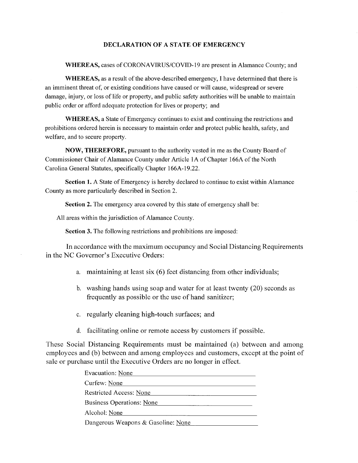## **DECLARATION OF A STATE OF EMERGENCY**

**WHEREAS,** cases of CORONA VIRUS/COVID-19 are present in Alamance County; and

**WHEREAS,** as a result of the above-described emergency, I have determined that there is an imminent threat of, or existing conditions have caused or will cause, widespread or severe damage, injury, or loss of life or property, and public safety authorities will be unable to maintain public order or afford adequate protection for lives or property; and

**WHEREAS,** a State of Emergency continues to exist and continuing the restrictions and prohibitions ordered herein is necessary to maintain order and protect public health, safety, and welfare, and to secure property.

**NOW, THEREFORE,** pursuant to the authority vested in me as the County Board of Commissioner Chair of Alamance County under Article IA of Chapter 166A of the North Carolina General Statutes, specifically Chapter 166A-19.22.

**Section 1.** A State of Emergency is hereby declared to continue to exist within Alamance County as more particularly described in Section 2.

**Section 2.** The emergency area covered by this state of emergency shall be:

All areas within the jurisdiction of Alamance County.

**Section 3.** The following restrictions and prohibitions are imposed:

In accordance with the maximum occupancy and Social Distancing Requirements in the NC Governor's Executive Orders:

- a. maintaining at least six (6) feet distancing from other individuals;
- b. washing hands using soap and water for at least twenty (20) seconds as frequently as possible or the use of hand sanitizer;
- c. regularly cleaning high-touch surfaces; and
- d. facilitating online or remote access by customers if possible.

These Social Distancing Requirements must be maintained (a) between and among employees and (b) between and among employees and customers, except at the point of sale or purchase until the Executive Orders are no longer in effect.

| Evacuation: None                   |
|------------------------------------|
| Curfew: None                       |
| <b>Restricted Access: None</b>     |
| <b>Business Operations: None</b>   |
| Alcohol: None                      |
| Dangerous Weapons & Gasoline: None |